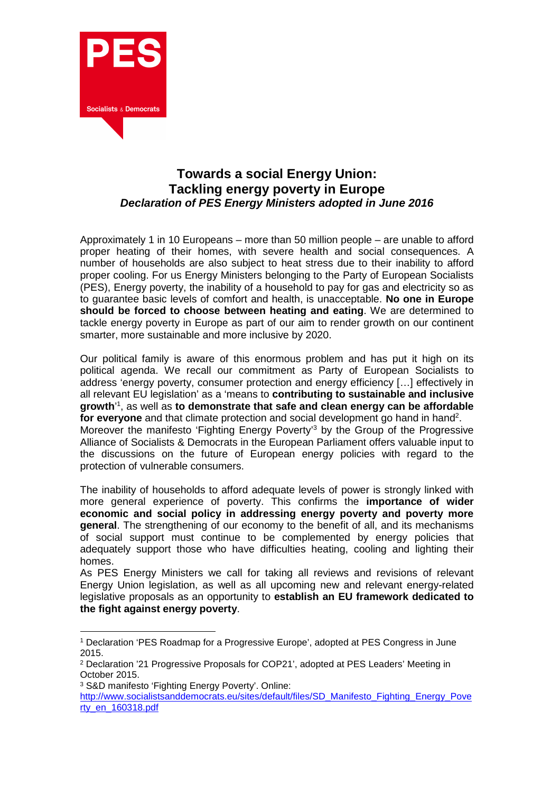

## **Towards a social Energy Union: Tackling energy poverty in Europe Declaration of PES Energy Ministers adopted in June 2016**

Approximately 1 in 10 Europeans – more than 50 million people – are unable to afford proper heating of their homes, with severe health and social consequences. A number of households are also subject to heat stress due to their inability to afford proper cooling. For us Energy Ministers belonging to the Party of European Socialists (PES), Energy poverty, the inability of a household to pay for gas and electricity so as to guarantee basic levels of comfort and health, is unacceptable. **No one in Europe should be forced to choose between heating and eating**. We are determined to tackle energy poverty in Europe as part of our aim to render growth on our continent smarter, more sustainable and more inclusive by 2020.

Our political family is aware of this enormous problem and has put it high on its political agenda. We recall our commitment as Party of European Socialists to address 'energy poverty, consumer protection and energy efficiency […] effectively in all relevant EU legislation' as a 'means to **contributing to sustainable and inclusive growth**' 1 , as well as **to demonstrate that safe and clean energy can be affordable**  for everyone and that climate protection and social development go hand in hand<sup>2</sup>. Moreover the manifesto 'Fighting Energy Poverty'<sup>3</sup> by the Group of the Progressive Alliance of Socialists & Democrats in the European Parliament offers valuable input to the discussions on the future of European energy policies with regard to the protection of vulnerable consumers.

The inability of households to afford adequate levels of power is strongly linked with more general experience of poverty. This confirms the **importance of wider economic and social policy in addressing energy poverty and poverty more general**. The strengthening of our economy to the benefit of all, and its mechanisms of social support must continue to be complemented by energy policies that adequately support those who have difficulties heating, cooling and lighting their homes.

As PES Energy Ministers we call for taking all reviews and revisions of relevant Energy Union legislation, as well as all upcoming new and relevant energy-related legislative proposals as an opportunity to **establish an EU framework dedicated to the fight against energy poverty**.

3 S&D manifesto 'Fighting Energy Poverty'. Online:

 $\overline{a}$ 1 Declaration 'PES Roadmap for a Progressive Europe', adopted at PES Congress in June 2015.

<sup>2</sup> Declaration '21 Progressive Proposals for COP21', adopted at PES Leaders' Meeting in October 2015.

http://www.socialistsanddemocrats.eu/sites/default/files/SD\_Manifesto\_Fighting\_Energy\_Pove rty\_en\_160318.pdf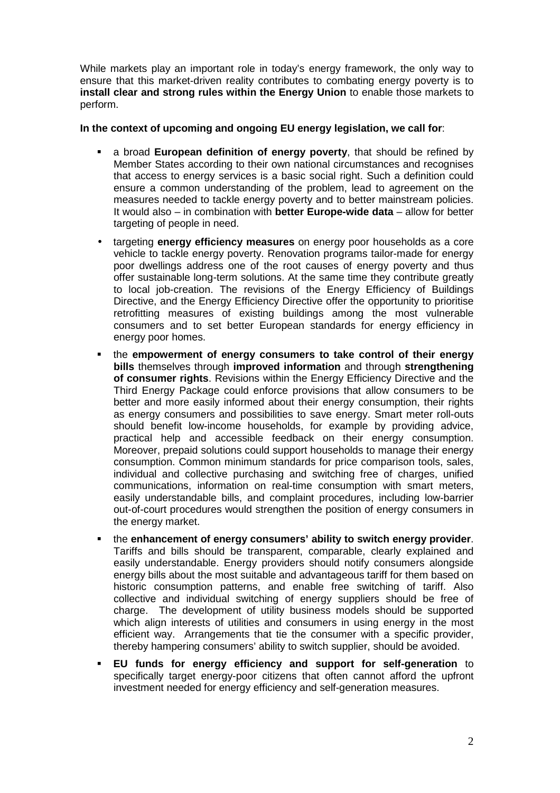While markets play an important role in today's energy framework, the only way to ensure that this market-driven reality contributes to combating energy poverty is to **install clear and strong rules within the Energy Union** to enable those markets to perform.

## **In the context of upcoming and ongoing EU energy legislation, we call for**:

- a broad **European definition of energy poverty**, that should be refined by Member States according to their own national circumstances and recognises that access to energy services is a basic social right. Such a definition could ensure a common understanding of the problem, lead to agreement on the measures needed to tackle energy poverty and to better mainstream policies. It would also – in combination with **better Europe-wide data** – allow for better targeting of people in need.
- targeting **energy efficiency measures** on energy poor households as a core vehicle to tackle energy poverty. Renovation programs tailor-made for energy poor dwellings address one of the root causes of energy poverty and thus offer sustainable long-term solutions. At the same time they contribute greatly to local job-creation. The revisions of the Energy Efficiency of Buildings Directive, and the Energy Efficiency Directive offer the opportunity to prioritise retrofitting measures of existing buildings among the most vulnerable consumers and to set better European standards for energy efficiency in energy poor homes.
- the **empowerment of energy consumers to take control of their energy bills** themselves through **improved information** and through **strengthening of consumer rights**. Revisions within the Energy Efficiency Directive and the Third Energy Package could enforce provisions that allow consumers to be better and more easily informed about their energy consumption, their rights as energy consumers and possibilities to save energy. Smart meter roll-outs should benefit low-income households, for example by providing advice, practical help and accessible feedback on their energy consumption. Moreover, prepaid solutions could support households to manage their energy consumption. Common minimum standards for price comparison tools, sales, individual and collective purchasing and switching free of charges, unified communications, information on real-time consumption with smart meters, easily understandable bills, and complaint procedures, including low-barrier out-of-court procedures would strengthen the position of energy consumers in the energy market.
- the **enhancement of energy consumers' ability to switch energy provider**. Tariffs and bills should be transparent, comparable, clearly explained and easily understandable. Energy providers should notify consumers alongside energy bills about the most suitable and advantageous tariff for them based on historic consumption patterns, and enable free switching of tariff. Also collective and individual switching of energy suppliers should be free of charge. The development of utility business models should be supported which align interests of utilities and consumers in using energy in the most efficient way. Arrangements that tie the consumer with a specific provider, thereby hampering consumers' ability to switch supplier, should be avoided.
- **EU funds for energy efficiency and support for self-generation** to specifically target energy-poor citizens that often cannot afford the upfront investment needed for energy efficiency and self-generation measures.